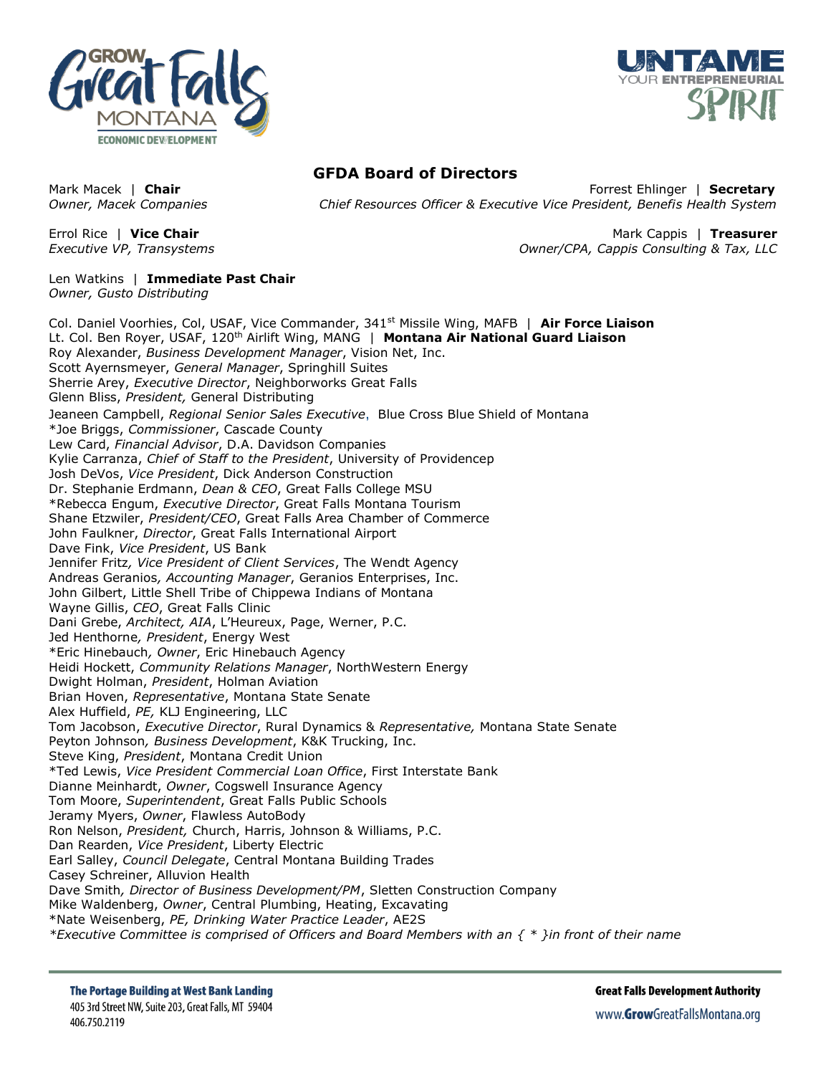



## **GFDA Board of Directors**

Mark Macek | **Chair** Forrest Ehlinger | **Secretary** *Owner, Macek Companies Chief Resources Officer & Executive Vice President, Benefis Health System*

Errol Rice | **Vice Chair** Mark Cappis | **Treasurer** *Executive VP, Transystems Owner/CPA, Cappis Consulting & Tax, LLC*

Len Watkins | **Immediate Past Chair** *Owner, Gusto Distributing*

Col. Daniel Voorhies, Col, USAF, Vice Commander, 341st Missile Wing, MAFB | **Air Force Liaison** Lt. Col. Ben Royer, USAF, 120th Airlift Wing, MANG | **Montana Air National Guard Liaison** Roy Alexander, *Business Development Manager*, Vision Net, Inc. Scott Ayernsmeyer, *General Manager*, Springhill Suites Sherrie Arey, *Executive Director*, Neighborworks Great Falls Glenn Bliss, *President,* General Distributing Jeaneen Campbell, *Regional Senior Sales Executive*, Blue Cross Blue Shield of Montana \*Joe Briggs, *Commissioner*, Cascade County Lew Card, *Financial Advisor*, D.A. Davidson Companies Kylie Carranza, *Chief of Staff to the President*, University of Providencep Josh DeVos, *Vice President*, Dick Anderson Construction Dr. Stephanie Erdmann, *Dean & CEO*, Great Falls College MSU \*Rebecca Engum, *Executive Director*, Great Falls Montana Tourism Shane Etzwiler, *President/CEO*, Great Falls Area Chamber of Commerce John Faulkner, *Director*, Great Falls International Airport Dave Fink, *Vice President*, US Bank Jennifer Fritz*, Vice President of Client Services*, The Wendt Agency Andreas Geranios*, Accounting Manager*, Geranios Enterprises, Inc. John Gilbert, Little Shell Tribe of Chippewa Indians of Montana Wayne Gillis, *CEO*, Great Falls Clinic Dani Grebe, *Architect, AIA*, L'Heureux, Page, Werner, P.C. Jed Henthorne*, President*, Energy West \*Eric Hinebauch*, Owner*, Eric Hinebauch Agency Heidi Hockett, *Community Relations Manager*, NorthWestern Energy Dwight Holman, *President*, Holman Aviation Brian Hoven, *Representative*, Montana State Senate Alex Huffield, *PE,* KLJ Engineering, LLC Tom Jacobson, *Executive Director*, Rural Dynamics & *Representative,* Montana State Senate Peyton Johnson*, Business Development*, K&K Trucking, Inc. Steve King, *President*, Montana Credit Union \*Ted Lewis, *Vice President Commercial Loan Office*, First Interstate Bank Dianne Meinhardt, *Owner*, Cogswell Insurance Agency Tom Moore, *Superintendent*, Great Falls Public Schools Jeramy Myers, *Owner*, Flawless AutoBody Ron Nelson, *President,* Church, Harris, Johnson & Williams, P.C. Dan Rearden, *Vice President*, Liberty Electric Earl Salley, *Council Delegate*, Central Montana Building Trades Casey Schreiner, Alluvion Health Dave Smith*, Director of Business Development/PM*, Sletten Construction Company Mike Waldenberg, *Owner*, Central Plumbing, Heating, Excavating \*Nate Weisenberg, *PE, Drinking Water Practice Leader*, AE2S *\*Executive Committee is comprised of Officers and Board Members with an { \* }in front of their name*